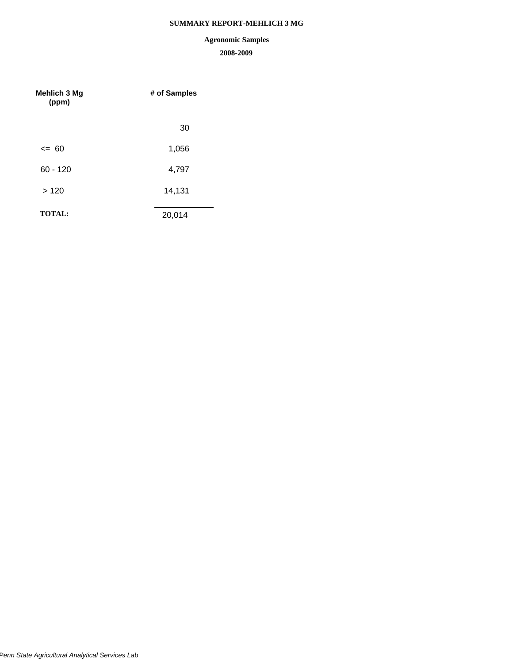# **SUMMARY REPORT-MEHLICH 3 MG**

# **Agronomic Samples**

| Mehlich 3 Mg<br>(ppm) | # of Samples |  |  |
|-----------------------|--------------|--|--|
|                       | 30           |  |  |
| $\leq$ 60             | 1,056        |  |  |
| $60 - 120$            | 4,797        |  |  |
| >120                  | 14,131       |  |  |
| <b>TOTAL:</b>         | 20,014       |  |  |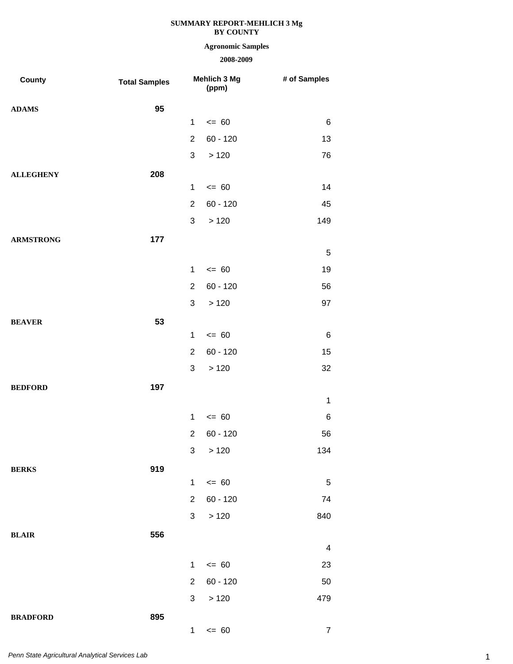## **Agronomic Samples**

| County           | <b>Total Samples</b> |                | Mehlich 3 Mg<br>(ppm) | # of Samples            |
|------------------|----------------------|----------------|-----------------------|-------------------------|
| <b>ADAMS</b>     | 95                   |                |                       |                         |
|                  |                      | $\mathbf 1$    | $= 60$                | 6                       |
|                  |                      | $\overline{2}$ | $60 - 120$            | 13                      |
|                  |                      | 3              | >120                  | 76                      |
| <b>ALLEGHENY</b> | 208                  |                |                       |                         |
|                  |                      | $\mathbf{1}$   | $= 60$                | 14                      |
|                  |                      | $\overline{2}$ | $60 - 120$            | 45                      |
|                  |                      | 3              | >120                  | 149                     |
| <b>ARMSTRONG</b> | 177                  |                |                       |                         |
|                  |                      |                |                       | $\mathbf 5$             |
|                  |                      | $\mathbf{1}$   | $= 60$                | 19                      |
|                  |                      | $\overline{2}$ | $60 - 120$            | 56                      |
|                  |                      | 3              | >120                  | 97                      |
| <b>BEAVER</b>    | 53                   |                |                       |                         |
|                  |                      | $\mathbf 1$    | $= 60$                | $\,6$                   |
|                  |                      | $\overline{2}$ | $60 - 120$            | 15                      |
|                  |                      | 3              | >120                  | 32                      |
| <b>BEDFORD</b>   | 197                  |                |                       |                         |
|                  |                      |                |                       | $\mathbf 1$             |
|                  |                      | $\mathbf{1}$   | $= 60$                | 6                       |
|                  |                      | $\overline{2}$ | $60 - 120$            | 56                      |
|                  |                      |                | 3 > 120               | 134                     |
| <b>BERKS</b>     | 919                  |                |                       |                         |
|                  |                      | $\mathbf{1}$   | $= 60$                | 5                       |
|                  |                      | $\overline{2}$ | $60 - 120$            | 74                      |
|                  |                      | 3              | >120                  | 840                     |
| <b>BLAIR</b>     | 556                  |                |                       |                         |
|                  |                      |                |                       | $\overline{\mathbf{4}}$ |
|                  |                      | $\mathbf{1}$   | $= 60$                | 23                      |
|                  |                      | $\overline{2}$ | $60 - 120$            | 50                      |
|                  |                      | 3              | >120                  | 479                     |
| <b>BRADFORD</b>  | 895                  | 1              | $= 60$                | $\boldsymbol{7}$        |
|                  |                      |                |                       |                         |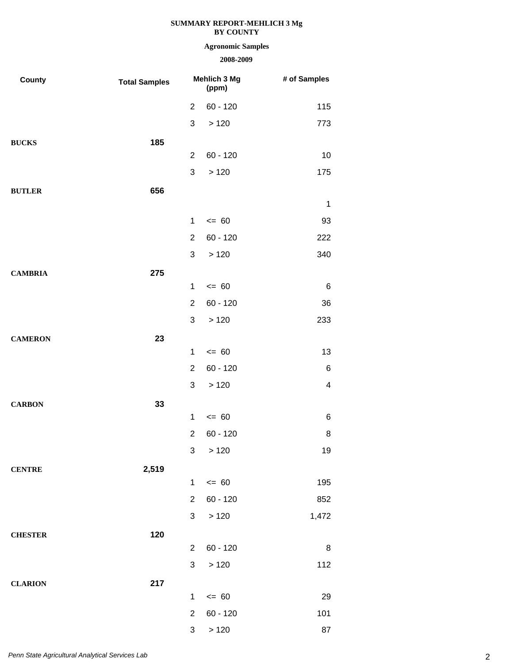# **Agronomic Samples**

| County         | <b>Total Samples</b> | Mehlich 3 Mg<br>(ppm) |            | # of Samples            |
|----------------|----------------------|-----------------------|------------|-------------------------|
|                |                      | $\overline{2}$        | $60 - 120$ | 115                     |
|                |                      | 3                     | >120       | 773                     |
| <b>BUCKS</b>   | 185                  |                       |            |                         |
|                |                      | $\overline{2}$        | $60 - 120$ | 10                      |
|                |                      | $\mathfrak{S}$        | >120       | 175                     |
| <b>BUTLER</b>  | 656                  |                       |            |                         |
|                |                      |                       |            | $\mathbf 1$             |
|                |                      | $\mathbf 1$           | $= 60$     | 93                      |
|                |                      | $\overline{2}$        | $60 - 120$ | 222                     |
|                |                      | 3                     | >120       | 340                     |
| <b>CAMBRIA</b> | 275                  |                       |            |                         |
|                |                      | $\mathbf{1}$          | $= 60$     | $\,6$                   |
|                |                      | $\overline{2}$        | $60 - 120$ | 36                      |
|                |                      | 3                     | >120       | 233                     |
| <b>CAMERON</b> | 23                   |                       |            |                         |
|                |                      | $\mathbf{1}$          | $= 60$     | 13                      |
|                |                      | $\overline{2}$        | $60 - 120$ | 6                       |
|                |                      | 3                     | >120       | $\overline{\mathbf{4}}$ |
| <b>CARBON</b>  | 33                   |                       |            |                         |
|                |                      | $\mathbf{1}$          | $= 60$     | 6                       |
|                |                      | $\overline{2}$        | $60 - 120$ | 8                       |
|                |                      |                       | 3 > 120    | 19                      |
| <b>CENTRE</b>  | 2,519                |                       |            |                         |
|                |                      | $\mathbf{1}$          | $\leq 60$  | 195                     |
|                |                      | $\overline{2}$        | $60 - 120$ | 852                     |
|                |                      | 3                     | >120       | 1,472                   |
| <b>CHESTER</b> | 120                  | $\overline{2}$        | $60 - 120$ |                         |
|                |                      | 3                     |            | 8<br>112                |
|                |                      |                       | >120       |                         |
| <b>CLARION</b> | 217                  | 1                     | $= 60$     | 29                      |
|                |                      | $\overline{2}$        | $60 - 120$ | 101                     |
|                |                      | 3                     | >120       | 87                      |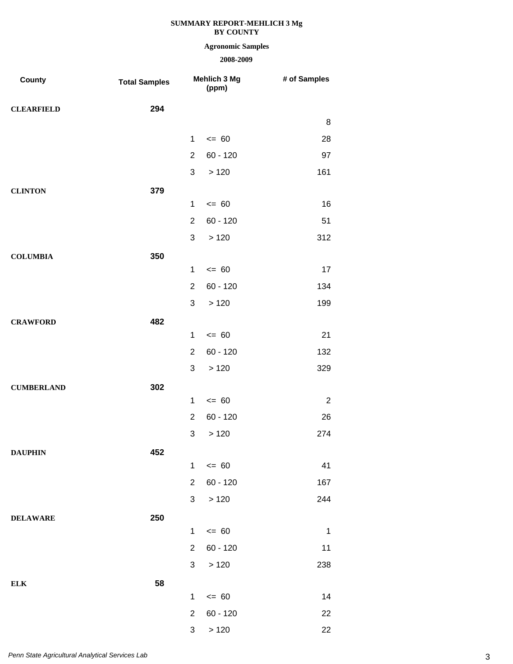## **Agronomic Samples**

| County            | <b>Total Samples</b> |                | Mehlich 3 Mg<br>(ppm) | # of Samples     |
|-------------------|----------------------|----------------|-----------------------|------------------|
| <b>CLEARFIELD</b> | 294                  |                |                       |                  |
|                   |                      |                |                       | 8                |
|                   |                      | $\mathbf{1}$   | $= 60$                | 28               |
|                   |                      | $\overline{2}$ | $60 - 120$            | 97               |
|                   |                      | 3              | >120                  | 161              |
| <b>CLINTON</b>    | 379                  |                |                       |                  |
|                   |                      | $\mathbf{1}$   | $= 60$                | 16               |
|                   |                      | $\overline{2}$ | $60 - 120$            | 51               |
|                   |                      | 3              | >120                  | 312              |
| <b>COLUMBIA</b>   | 350                  |                |                       |                  |
|                   |                      | $\mathbf{1}$   | $= 60$                | 17               |
|                   |                      | $\overline{2}$ | $60 - 120$            | 134              |
|                   |                      | 3              | >120                  | 199              |
| <b>CRAWFORD</b>   | 482                  |                |                       |                  |
|                   |                      | $\mathbf{1}$   | $= 60$                | 21               |
|                   |                      | $\overline{2}$ | $60 - 120$            | 132              |
|                   |                      | 3              | >120                  | 329              |
| <b>CUMBERLAND</b> | 302                  |                |                       |                  |
|                   |                      | $\mathbf 1$    | $= 60$                | $\boldsymbol{2}$ |
|                   |                      | $\overline{2}$ | $60 - 120$            | 26               |
|                   |                      | 3              | >120                  | 274              |
| <b>DAUPHIN</b>    | 452                  |                |                       |                  |
|                   |                      | $\mathbf{1}$   | $\leq$ 60             | 41               |
|                   |                      | $\overline{2}$ | $60 - 120$            | 167              |
|                   |                      | 3              | >120                  | 244              |
| <b>DELAWARE</b>   | 250                  |                |                       |                  |
|                   |                      | $\mathbf{1}$   | $\leq$ 60             | $\mathbf 1$      |
|                   |                      | $\overline{2}$ | $60 - 120$            | 11               |
|                   |                      | 3              | >120                  | 238              |
| ${\bf ELK}$       | 58                   |                |                       |                  |
|                   |                      | $\mathbf{1}$   | $= 60$                | 14               |
|                   |                      | $\overline{2}$ | $60 - 120$            | 22               |
|                   |                      | 3              | >120                  | 22               |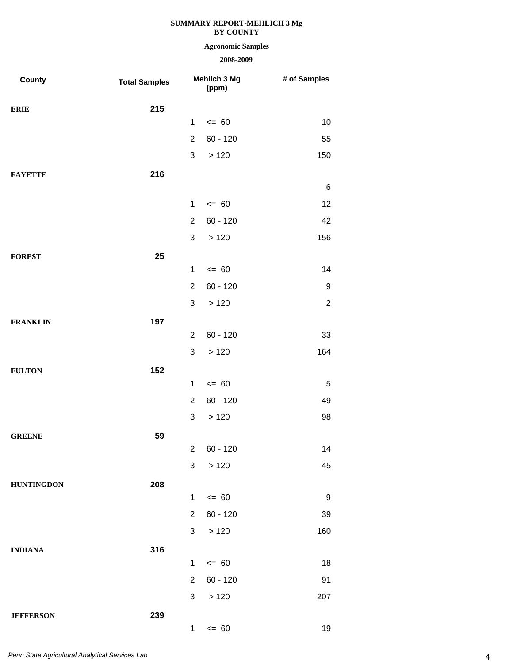# **Agronomic Samples**

| County            | <b>Total Samples</b> |                | Mehlich 3 Mg<br>(ppm) | # of Samples |
|-------------------|----------------------|----------------|-----------------------|--------------|
| <b>ERIE</b>       | 215                  |                |                       |              |
|                   |                      | $\mathbf 1$    | $\leq 60$             | 10           |
|                   |                      | $\overline{2}$ | $60 - 120$            | 55           |
|                   |                      | 3              | >120                  | 150          |
| <b>FAYETTE</b>    | 216                  |                |                       |              |
|                   |                      |                |                       | 6            |
|                   |                      | $\mathbf{1}$   | $= 60$                | 12           |
|                   |                      | $\overline{2}$ | $60 - 120$            | 42           |
|                   |                      | 3              | >120                  | 156          |
| <b>FOREST</b>     | 25                   |                |                       |              |
|                   |                      | $\mathbf{1}$   | $= 60$                | 14           |
|                   |                      | $\overline{2}$ | $60 - 120$            | 9            |
|                   |                      | $\sqrt{3}$     | >120                  | $\sqrt{2}$   |
| <b>FRANKLIN</b>   | 197                  |                |                       |              |
|                   |                      | $\overline{2}$ | $60 - 120$            | 33           |
|                   |                      | $\sqrt{3}$     | >120                  | 164          |
| <b>FULTON</b>     | 152                  |                |                       |              |
|                   |                      | $\mathbf 1$    | $= 60$                | 5            |
|                   |                      | $\overline{2}$ | $60 - 120$            | 49           |
|                   |                      | 3              | >120                  | 98           |
| <b>GREENE</b>     | 59                   |                |                       |              |
|                   |                      |                | $2 60 - 120$          | 14           |
|                   |                      | 3              | >120                  | 45           |
| <b>HUNTINGDON</b> | 208                  | $\mathbf 1$    | $\leq$ 60             | $9\,$        |
|                   |                      | $\overline{2}$ |                       |              |
|                   |                      |                | $60 - 120$            | 39           |
|                   |                      | $\mathbf{3}$   | >120                  | 160          |
| <b>INDIANA</b>    | 316                  | $\mathbf{1}$   | $= 60$                | 18           |
|                   |                      | $\overline{2}$ | $60 - 120$            | 91           |
|                   |                      | 3              | >120                  | 207          |
|                   |                      |                |                       |              |
| <b>JEFFERSON</b>  | 239                  | $\mathbf{1}$   | $= 60$                | 19           |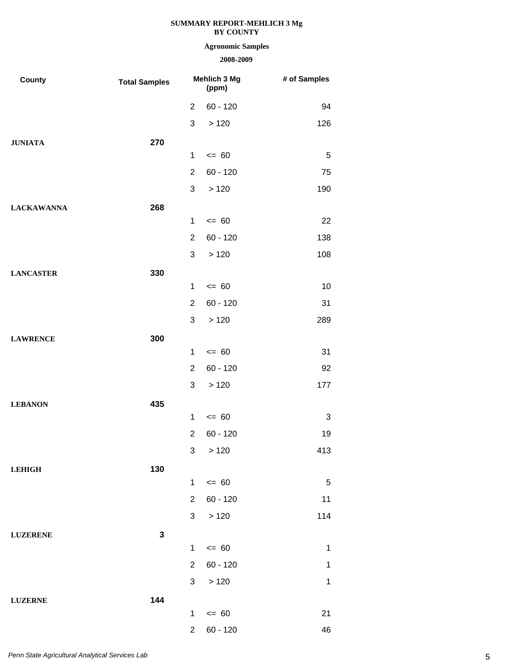## **Agronomic Samples**

| County            | <b>Total Samples</b> | Mehlich 3 Mg<br>(ppm) |            | # of Samples   |
|-------------------|----------------------|-----------------------|------------|----------------|
|                   |                      | $\overline{2}$        | $60 - 120$ | 94             |
|                   |                      | 3                     | >120       | 126            |
| <b>JUNIATA</b>    | 270                  |                       |            |                |
|                   |                      | $\mathbf{1}$          | $= 60$     | $\overline{5}$ |
|                   |                      | $\overline{2}$        | $60 - 120$ | 75             |
|                   |                      | 3                     | >120       | 190            |
| <b>LACKAWANNA</b> | 268                  |                       |            |                |
|                   |                      | $\mathbf{1}$          | $= 60$     | 22             |
|                   |                      | $\overline{2}$        | $60 - 120$ | 138            |
|                   |                      | 3                     | >120       | 108            |
| <b>LANCASTER</b>  | 330                  |                       |            |                |
|                   |                      | $\mathbf{1}$          | $= 60$     | 10             |
|                   |                      | $\overline{2}$        | $60 - 120$ | 31             |
|                   |                      | 3                     | >120       | 289            |
| <b>LAWRENCE</b>   | 300                  |                       |            |                |
|                   |                      | $\mathbf{1}$          | $= 60$     | 31             |
|                   |                      | $\overline{2}$        | $60 - 120$ | 92             |
|                   |                      | 3                     | >120       | 177            |
| <b>LEBANON</b>    | 435                  |                       |            |                |
|                   |                      | $\mathbf{1}$          | $= 60$     | 3              |
|                   |                      | $\overline{2}$        | $60 - 120$ | 19             |
|                   |                      | 3 <sup>1</sup>        | >120       | 413            |
| <b>LEHIGH</b>     | 130                  |                       |            |                |
|                   |                      | $\mathbf{1}$          | $= 60$     | $\sqrt{5}$     |
|                   |                      | $\overline{2}$        | $60 - 120$ | 11             |
|                   |                      | 3 <sup>1</sup>        | >120       | 114            |
| <b>LUZERENE</b>   | $\mathbf{3}$         | $\mathbf 1$           | $\leq$ 60  | $\mathbf 1$    |
|                   |                      | $\overline{2}$        | $60 - 120$ | $\mathbf 1$    |
|                   |                      | $\mathbf{3}$          |            |                |
|                   |                      |                       | >120       | $\mathbf 1$    |
| <b>LUZERNE</b>    | 144                  | $\mathbf{1}$          | $\leq$ 60  | 21             |
|                   |                      | $\overline{2}$        | $60 - 120$ | 46             |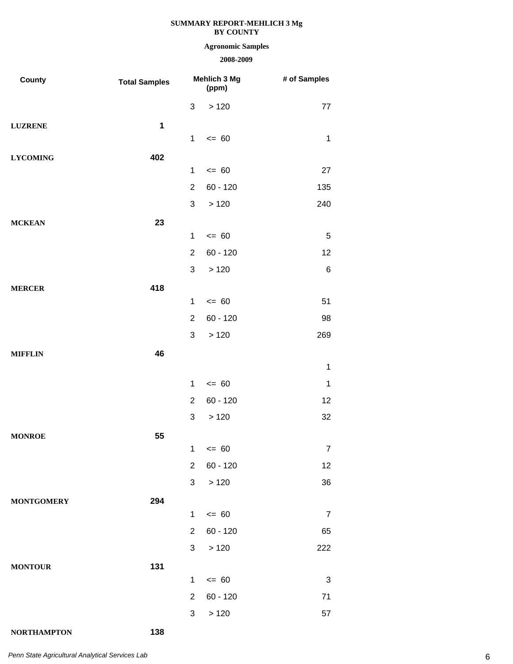# **Agronomic Samples**

## **2008-2009**

| County            | <b>Total Samples</b> |                | <b>Mehlich 3 Mg</b><br>(ppm) | # of Samples   |
|-------------------|----------------------|----------------|------------------------------|----------------|
|                   |                      | 3              | >120                         | $77 \,$        |
| <b>LUZRENE</b>    | $\mathbf 1$          |                |                              |                |
|                   |                      | $\mathbf{1}$   | $= 60$                       | $\mathbf{1}$   |
| <b>LYCOMING</b>   | 402                  |                |                              |                |
|                   |                      | $\mathbf{1}$   | $= 60$                       | 27             |
|                   |                      | $\overline{2}$ | $60 - 120$                   | 135            |
|                   |                      | 3              | >120                         | 240            |
| <b>MCKEAN</b>     | 23                   | $\mathbf 1$    | $= 60$                       | 5              |
|                   |                      | $\overline{2}$ | $60 - 120$                   | 12             |
|                   |                      | 3              | >120                         | $\,6$          |
|                   |                      |                |                              |                |
| <b>MERCER</b>     | 418                  | $\mathbf 1$    | $= 60$                       | 51             |
|                   |                      | $\overline{2}$ | $60 - 120$                   | 98             |
|                   |                      | 3              | >120                         | 269            |
| <b>MIFFLIN</b>    | 46                   |                |                              |                |
|                   |                      |                |                              | $\mathbf{1}$   |
|                   |                      | $\mathbf{1}$   | $= 60$                       | $\mathbf 1$    |
|                   |                      | $\overline{2}$ | $60 - 120$                   | 12             |
|                   |                      | 3              | >120                         | 32             |
| <b>MONROE</b>     | 55                   |                |                              |                |
|                   |                      |                | $1 \le 60$                   | $\overline{7}$ |
|                   |                      | $\overline{2}$ | $60 - 120$                   | 12             |
|                   |                      | 3              | >120                         | 36             |
| <b>MONTGOMERY</b> | 294                  |                |                              |                |
|                   |                      | $\mathbf{1}$   | $\leq$ 60                    | $\overline{7}$ |
|                   |                      | 2 <sup>1</sup> | $60 - 120$                   | 65             |
|                   |                      | 3 <sup>1</sup> | >120                         | 222            |
| <b>MONTOUR</b>    | 131                  |                |                              |                |
|                   |                      | $\mathbf{1}$   | $\leq$ 60                    | $\mathbf{3}$   |
|                   |                      | $\overline{2}$ | $60 - 120$                   | 71             |
|                   |                      | $\mathbf{3}$   | >120                         | 57             |

**NORTHAMPTON 138**

6 *Penn State Agricultural Analytical Services Lab*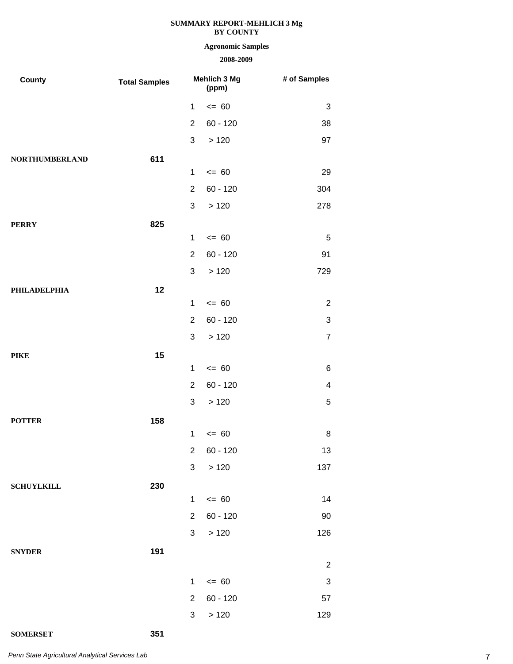# **Agronomic Samples**

| County                | <b>Total Samples</b> | Mehlich 3 Mg<br>(ppm) |            | # of Samples   |
|-----------------------|----------------------|-----------------------|------------|----------------|
|                       |                      | 1                     | $= 60$     | 3              |
|                       |                      | $\overline{2}$        | $60 - 120$ | 38             |
|                       |                      | 3                     | >120       | 97             |
| <b>NORTHUMBERLAND</b> | 611                  |                       |            |                |
|                       |                      | $\mathbf{1}$          | $= 60$     | 29             |
|                       |                      | $\overline{2}$        | $60 - 120$ | 304            |
|                       |                      | 3                     | >120       | 278            |
| <b>PERRY</b>          | 825                  |                       |            |                |
|                       |                      | $\mathbf{1}$          | $= 60$     | $\sqrt{5}$     |
|                       |                      | $\overline{2}$        | $60 - 120$ | 91             |
|                       |                      | 3                     | >120       | 729            |
| <b>PHILADELPHIA</b>   | 12                   |                       |            |                |
|                       |                      | $\mathbf{1}$          | $= 60$     | $\sqrt{2}$     |
|                       |                      | $\overline{2}$        | $60 - 120$ | $\sqrt{3}$     |
|                       |                      | 3                     | >120       | $\overline{7}$ |
| <b>PIKE</b>           | 15                   |                       |            |                |
|                       |                      | $\mathbf{1}$          | $= 60$     | 6              |
|                       |                      | $\overline{2}$        | $60 - 120$ | 4              |
|                       |                      | 3                     | >120       | $\sqrt{5}$     |
| <b>POTTER</b>         | 158                  |                       |            |                |
|                       |                      | 1                     | $= 60$     | 8              |
|                       |                      | $\overline{2}$        | $60 - 120$ | 13             |
|                       |                      | $\mathbf{3}$          | >120       | 137            |
| <b>SCHUYLKILL</b>     | 230                  |                       |            |                |
|                       |                      | $\mathbf{1}$          | $\leq 60$  | 14             |
|                       |                      | $\overline{2}$        | $60 - 120$ | $90\,$         |
|                       |                      | 3 <sup>1</sup>        | >120       | 126            |
| <b>SNYDER</b>         | 191                  |                       |            |                |
|                       |                      |                       |            | $\overline{c}$ |
|                       |                      | $\mathbf 1$           | $= 60$     | $\sqrt{3}$     |
|                       |                      | $\overline{2}$        | $60 - 120$ | 57             |
|                       |                      | 3                     | >120       | 129            |
| <b>SOMERSET</b>       | 351                  |                       |            |                |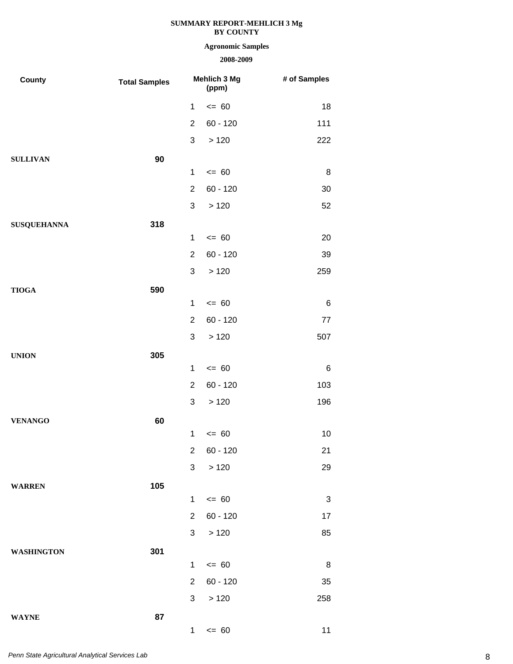# **Agronomic Samples**

| County             | <b>Total Samples</b> | Mehlich 3 Mg<br>(ppm) |            | # of Samples |
|--------------------|----------------------|-----------------------|------------|--------------|
|                    |                      | $\mathbf{1}$          | $= 60$     | 18           |
|                    |                      | $\overline{2}$        | $60 - 120$ | 111          |
|                    |                      | 3                     | >120       | 222          |
| <b>SULLIVAN</b>    | 90                   |                       |            |              |
|                    |                      | $\mathbf{1}$          | $= 60$     | 8            |
|                    |                      | $\overline{2}$        | $60 - 120$ | 30           |
|                    |                      | 3                     | >120       | 52           |
| <b>SUSQUEHANNA</b> | 318                  |                       |            |              |
|                    |                      | $\mathbf{1}$          | $= 60$     | 20           |
|                    |                      | $\overline{2}$        | $60 - 120$ | 39           |
|                    |                      | 3                     | >120       | 259          |
| <b>TIOGA</b>       | 590                  |                       |            |              |
|                    |                      | $\mathbf{1}$          | $= 60$     | $\,6$        |
|                    |                      | $\overline{2}$        | $60 - 120$ | $77$         |
|                    |                      | 3                     | >120       | 507          |
| <b>UNION</b>       | 305                  |                       |            |              |
|                    |                      | $\mathbf{1}$          | $= 60$     | $\,6$        |
|                    |                      | $\overline{2}$        | $60 - 120$ | 103          |
|                    |                      | 3                     | >120       | 196          |
| <b>VENANGO</b>     | 60                   |                       |            |              |
|                    |                      | $\mathbf 1$           | $= 60$     | 10           |
|                    |                      |                       | 2 60 - 120 | 21           |
|                    |                      | 3                     | >120       | 29           |
| <b>WARREN</b>      | 105                  |                       |            |              |
|                    |                      | $\mathbf 1$           | $\leq$ 60  | $\sqrt{3}$   |
|                    |                      | $\overline{2}$        | $60 - 120$ | 17           |
|                    |                      | 3 <sup>1</sup>        | $>120$     | 85           |
| <b>WASHINGTON</b>  | 301                  |                       |            |              |
|                    |                      | $\mathbf{1}$          | $= 60$     | 8            |
|                    |                      | $\overline{2}$        | $60 - 120$ | 35           |
|                    |                      | 3                     | >120       | 258          |
| <b>WAYNE</b>       | 87                   |                       |            |              |
|                    |                      | 1                     | $\leq$ 60  | 11           |